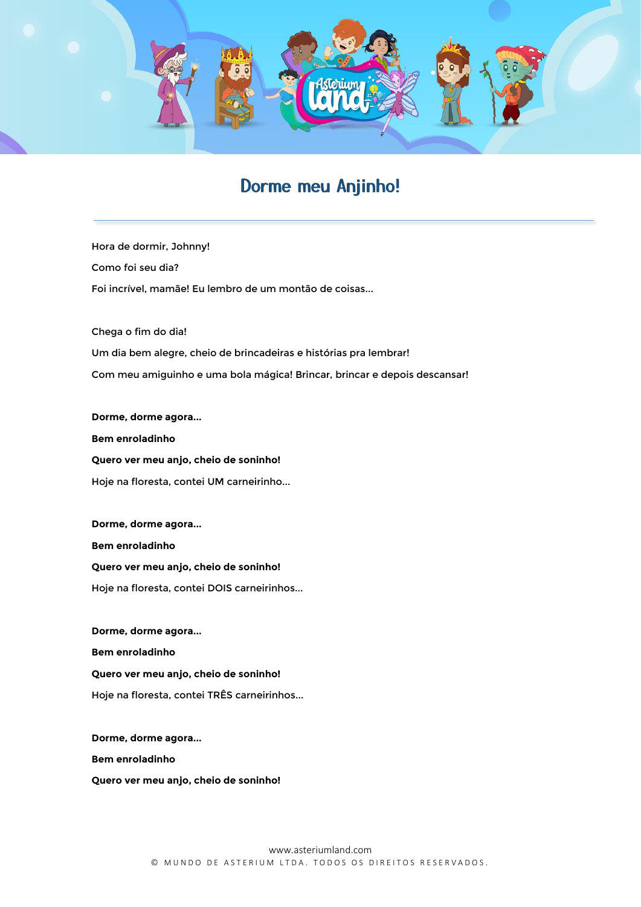

## Dorme meu Anjinho!

Hora de dormir, Johnny! Como foi seu dia? Foi incrível, mamãe! Eu lembro de um montão de coisas...

Chega o fim do dia! Um dia bem alegre, cheio de brincadeiras e histórias pra lembrar! Com meu amiguinho e uma bola mágica! Brincar, brincar e depois descansar!

**Dorme, dorme agora... Bem enroladinho Quero ver meu anjo, cheio de soninho!** Hoje na floresta, contei UM carneirinho...

**Dorme, dorme agora... Bem enroladinho Quero ver meu anjo, cheio de soninho!** Hoje na floresta, contei DOIS carneirinhos...

**Dorme, dorme agora... Bem enroladinho Quero ver meu anjo, cheio de soninho!** Hoje na floresta, contei TRÊS carneirinhos...

**Dorme, dorme agora... Bem enroladinho Quero ver meu anjo, cheio de soninho!**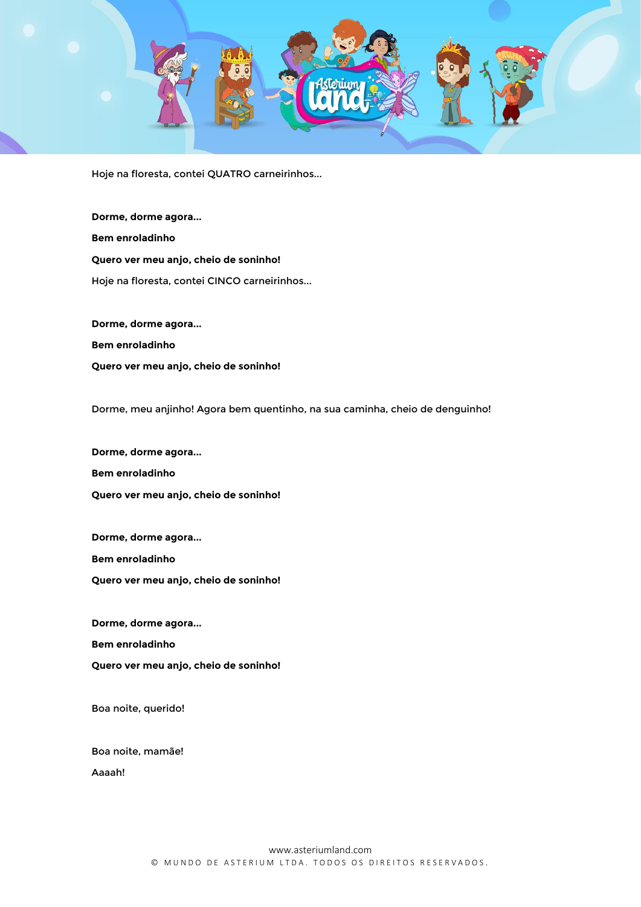

Hoje na floresta, contei QUATRO carneirinhos...

**Dorme, dorme agora... Bem enroladinho Quero ver meu anjo, cheio de soninho!** Hoje na floresta, contei CINCO carneirinhos...

**Dorme, dorme agora... Bem enroladinho Quero ver meu anjo, cheio de soninho!**

Dorme, meu anjinho! Agora bem quentinho, na sua caminha, cheio de denguinho!

**Dorme, dorme agora... Bem enroladinho Quero ver meu anjo, cheio de soninho!**

**Dorme, dorme agora...** 

**Bem enroladinho**

**Quero ver meu anjo, cheio de soninho!**

**Dorme, dorme agora...** 

**Bem enroladinho**

**Quero ver meu anjo, cheio de soninho!**

Boa noite, querido!

Boa noite, mamãe!

Aaaah!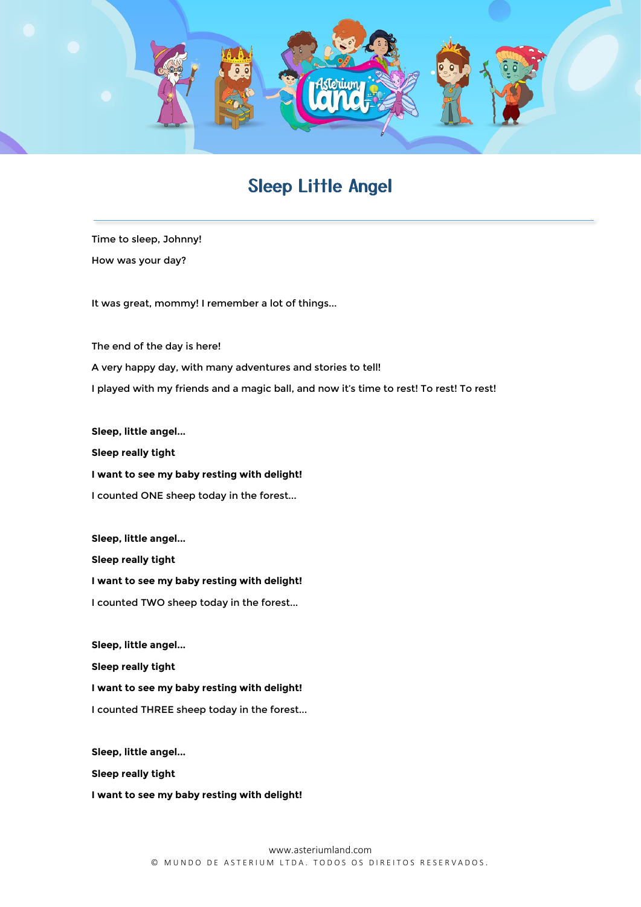

## Sleep Little Angel

Time to sleep, Johnny! How was your day?

It was great, mommy! I remember a lot of things...

The end of the day is here! A very happy day, with many adventures and stories to tell! I played with my friends and a magic ball, and now it's time to rest! To rest! To rest!

**Sleep, little angel... Sleep really tight** 

**I want to see my baby resting with delight!**

I counted ONE sheep today in the forest...

**Sleep, little angel... Sleep really tight I want to see my baby resting with delight!** I counted TWO sheep today in the forest...

**Sleep, little angel...**

**Sleep really tight** 

**I want to see my baby resting with delight!**

I counted THREE sheep today in the forest...

**Sleep, little angel... Sleep really tight I want to see my baby resting with delight!**